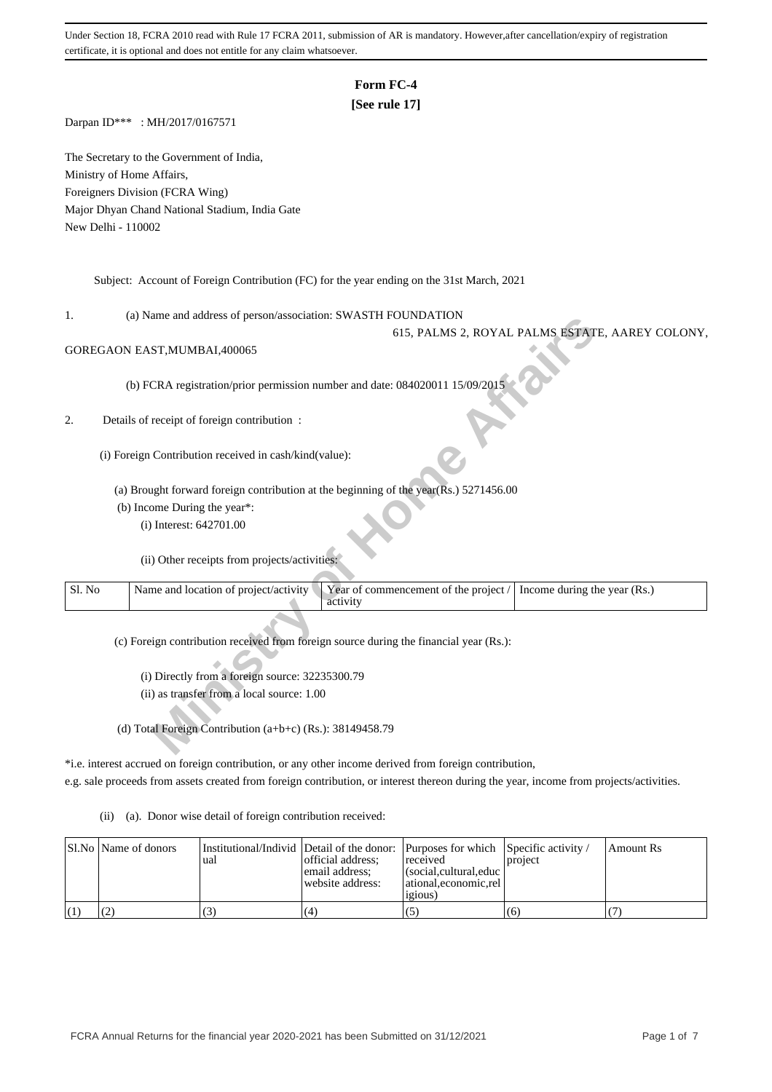# **Form FC-4**

## **[See rule 17]**

Darpan ID\*\*\* : MH/2017/0167571

The Secretary to the Government of India, Ministry of Home Affairs, Foreigners Division (FCRA Wing) Major Dhyan Chand National Stadium, India Gate New Delhi - 110002

Subject: Account of Foreign Contribution (FC) for the year ending on the 31st March, 2021

1. (a) Name and address of person/association: SWASTH FOUNDATION

### GOREGAON EAST,MUMBAI,400065

## 2. Details of receipt of foreign contribution :

| .,     | (a) IValue and address of person/association. S $W$ ASTITT OUNDATION                                                       |
|--------|----------------------------------------------------------------------------------------------------------------------------|
|        | 615, PALMS 2, ROYAL PALMS ESTATE, AAREY COLONY                                                                             |
|        | GOREGAON EAST, MUMBAI, 400065                                                                                              |
|        | (b) FCRA registration/prior permission number and date: 084020011 15/09/2015                                               |
| 2.     | Details of receipt of foreign contribution:                                                                                |
|        | (i) Foreign Contribution received in cash/kind(value):                                                                     |
|        | (a) Brought forward foreign contribution at the beginning of the year( $\overline{R}$ s.) 5271456.00                       |
|        | (b) Income During the year*:                                                                                               |
|        | (i) Interest: 642701.00                                                                                                    |
|        | (ii) Other receipts from projects/activities:                                                                              |
| Sl. No | Name and location of project/activity<br>Year of commencement of the project /<br>Income during the year (Rs.)<br>activity |
|        | (c) Foreign contribution received from foreign source during the financial year (Rs.):                                     |
|        | (i) Directly from a foreign source: 32235300.79                                                                            |
|        | (ii) as transfer from a local source: 1.00                                                                                 |
|        |                                                                                                                            |
|        | (d) Total Foreign Contribution $(a+b+c)$ (Rs.): 38149458.79                                                                |

\*i.e. interest accrued on foreign contribution, or any other income derived from foreign contribution,

e.g. sale proceeds from assets created from foreign contribution, or interest thereon during the year, income from projects/activities.

(ii) (a). Donor wise detail of foreign contribution received:

| Sl.No   Name of donors | 'ual | official address:<br>email address:<br>website address: | Institutional/Individ Detail of the donor: Purposes for which Specific activity /<br>received<br>$ $ (social, cultural, educ $ $<br>  ational.economic.rel<br><i>igious</i> | project | Amount Rs |
|------------------------|------|---------------------------------------------------------|-----------------------------------------------------------------------------------------------------------------------------------------------------------------------------|---------|-----------|
|                        |      | (4)                                                     | (5                                                                                                                                                                          | (6)     |           |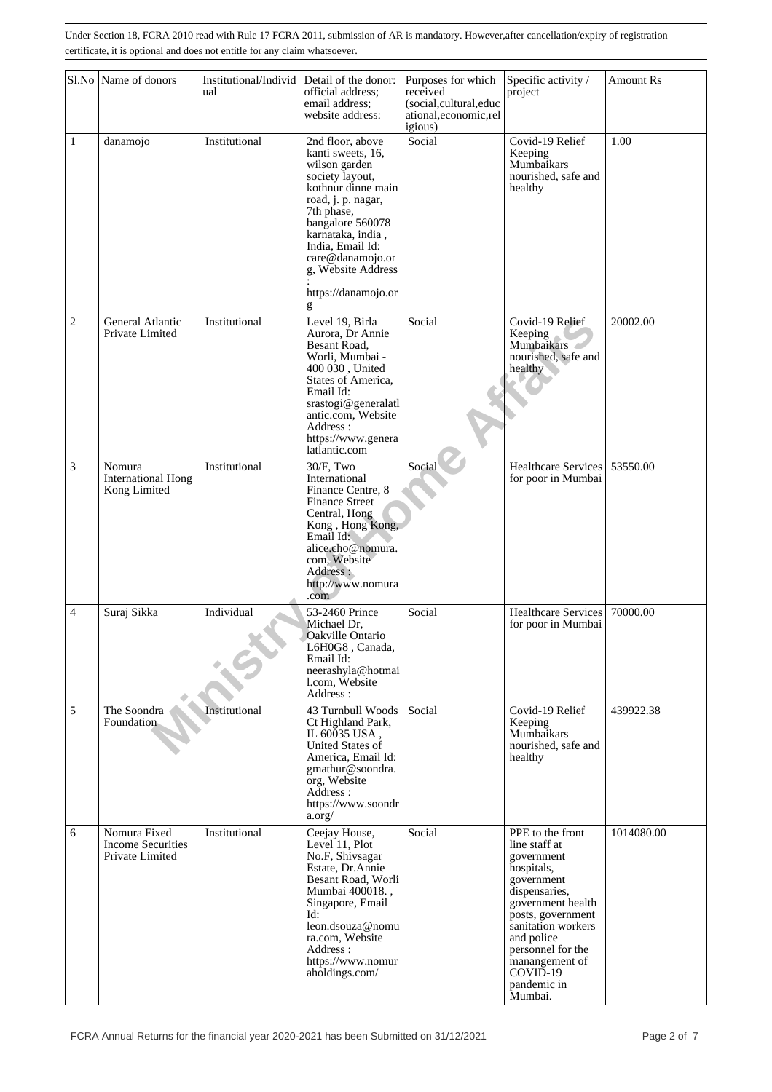|                | Sl.No Name of donors                                        | Institutional/Individ<br>ual | Detail of the donor:<br>official address:<br>email address;<br>website address:                                                                                                                                                                                        | Purposes for which<br>received<br>(social,cultural,educ<br>ational, economic, rel<br>igious) | Specific activity /<br>project                                                                                                                                                                                                                          | Amount Rs  |
|----------------|-------------------------------------------------------------|------------------------------|------------------------------------------------------------------------------------------------------------------------------------------------------------------------------------------------------------------------------------------------------------------------|----------------------------------------------------------------------------------------------|---------------------------------------------------------------------------------------------------------------------------------------------------------------------------------------------------------------------------------------------------------|------------|
| 1              | danamojo                                                    | Institutional                | 2nd floor, above<br>kanti sweets, 16,<br>wilson garden<br>society layout,<br>kothnur dinne main<br>road, j. p. nagar,<br>7th phase,<br>bangalore 560078<br>karnataka, india,<br>India, Email Id:<br>care@danamojo.or<br>g, Website Address<br>https://danamojo.or<br>g | Social                                                                                       | Covid-19 Relief<br>Keeping<br>Mumbaikars<br>nourished, safe and<br>healthy                                                                                                                                                                              | 1.00       |
| $\overline{c}$ | General Atlantic<br>Private Limited                         | Institutional                | Level 19, Birla<br>Aurora, Dr Annie<br>Besant Road,<br>Worli, Mumbai -<br>400 030, United<br>States of America,<br>Email Id:<br>srastogi@generalatl<br>antic.com, Website<br>Address:<br>https://www.genera<br>latlantic.com                                           | Social                                                                                       | Covid-19 Relief<br>Keeping<br>Mumbaikars<br>nourished, safe and<br>healthy                                                                                                                                                                              | 20002.00   |
| 3              | Nomura<br><b>International Hong</b><br>Kong Limited         | Institutional                | $30/F$ , Two<br>International<br>Finance Centre, 8<br><b>Finance Street</b><br>Central, Hong<br>Kong, Hong Kong,<br>Email Id:<br>alice.cho@nomura.<br>com, Website<br>Address :<br>http://www.nomura<br>.com                                                           | Social                                                                                       | Healthcare Services<br>for poor in Mumbai                                                                                                                                                                                                               | 53550.00   |
| $\overline{4}$ | Suraj Sikka                                                 | Individual                   | 53-2460 Prince<br>Michael Dr,<br>Oakville Ontario<br>L6H0G8, Canada,<br>Email Id:<br>neerashyla@hotmai<br>l.com, Website<br>Address:                                                                                                                                   | Social                                                                                       | Healthcare Services<br>for poor in Mumbai                                                                                                                                                                                                               | 70000.00   |
| 5              | The Soondra<br>Foundation                                   | Institutional                | 43 Turnbull Woods<br>Ct Highland Park,<br>IL 60035 USA.<br><b>United States of</b><br>America, Email Id:<br>gmathur@soondra.<br>org, Website<br>Address :<br>https://www.soondr<br>a.org/                                                                              | Social                                                                                       | Covid-19 Relief<br>Keeping<br>Mumbaikars<br>nourished, safe and<br>healthy                                                                                                                                                                              | 439922.38  |
| 6              | Nomura Fixed<br><b>Income Securities</b><br>Private Limited | Institutional                | Ceejay House,<br>Level 11, Plot<br>No.F, Shivsagar<br>Estate, Dr.Annie<br>Besant Road, Worli<br>Mumbai 400018.,<br>Singapore, Email<br>Id:<br>leon.dsouza@nomu<br>ra.com, Website<br>Address :<br>https://www.nomur<br>aholdings.com/                                  | Social                                                                                       | PPE to the front<br>line staff at<br>government<br>hospitals,<br>government<br>dispensaries,<br>government health<br>posts, government<br>sanitation workers<br>and police<br>personnel for the<br>manangement of<br>COVID-19<br>pandemic in<br>Mumbai. | 1014080.00 |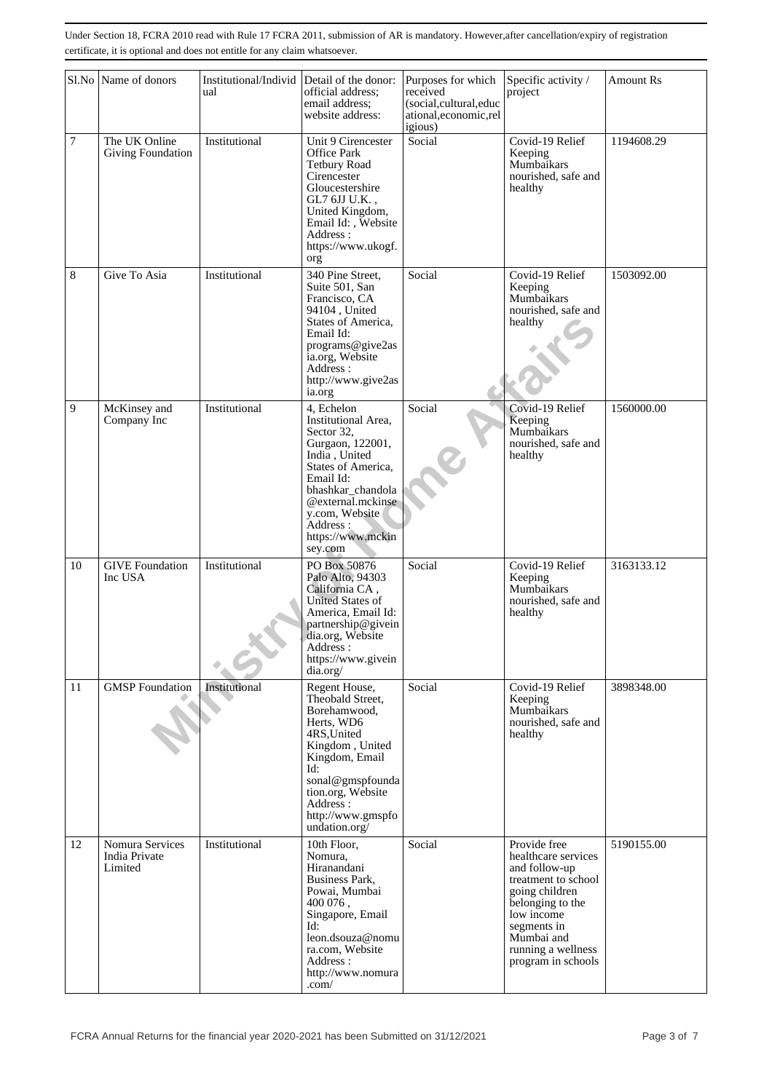|                  | Sl.No Name of donors                        | Institutional/Individ<br>ual | Detail of the donor:<br>official address;<br>email address;<br>website address:                                                                                                                                                 | Purposes for which<br>Specific activity /<br>received<br>project<br>(social,cultural,educ<br>ational, economic, rel<br>igious) |                                                                                                                                                                                                          | <b>Amount Rs</b> |
|------------------|---------------------------------------------|------------------------------|---------------------------------------------------------------------------------------------------------------------------------------------------------------------------------------------------------------------------------|--------------------------------------------------------------------------------------------------------------------------------|----------------------------------------------------------------------------------------------------------------------------------------------------------------------------------------------------------|------------------|
| $\boldsymbol{7}$ | The UK Online<br><b>Giving Foundation</b>   | Institutional                | Unit 9 Cirencester<br>Office Park<br><b>Tetbury Road</b><br>Cirencester<br>Gloucestershire<br>GL7 6JJ U.K.,<br>United Kingdom,<br>Email Id:, Website<br>Address:<br>https://www.ukogf.<br>org                                   | Covid-19 Relief<br>Social<br>Keeping<br>Mumbaikars<br>nourished, safe and<br>healthy                                           |                                                                                                                                                                                                          | 1194608.29       |
| 8                | Give To Asia                                | Institutional                | 340 Pine Street,<br>Suite 501, San<br>Francisco, CA<br>94104, United<br>States of America,<br>Email Id:<br>programs@give2as<br>ia.org, Website<br>Address:<br>http://www.give2as<br>ia.org                                      | Social                                                                                                                         | Covid-19 Relief<br>Keeping<br>Mumbaikars<br>nourished, safe and<br>healthy                                                                                                                               | 1503092.00       |
| 9                | McKinsey and<br>Company Inc                 | Institutional                | 4, Echelon<br>Institutional Area,<br>Sector 32,<br>Gurgaon, 122001,<br>India, United<br>States of America,<br>Email Id:<br>bhashkar_chandola<br>@external.mckinse<br>y.com, Website<br>Address:<br>https://www.mckin<br>sey.com | Social                                                                                                                         | Covid-19 Relief<br>Keeping<br>Mumbaikars<br>nourished, safe and<br>healthy                                                                                                                               | 1560000.00       |
| 10               | <b>GIVE Foundation</b><br>Inc USA           | Institutional                | PO Box 50876<br>Palo Alto, 94303<br>California CA,<br><b>United States of</b><br>America, Email Id:<br>partnership@givein<br>dia.org, Website<br>Address:<br>https://www.givein<br>dia.org/                                     | Social                                                                                                                         | Covid-19 Relief<br>Keeping<br>Mumbaikars<br>nourished, safe and<br>healthy                                                                                                                               | 3163133.12       |
| 11               | <b>GMSP</b> Foundation                      | Institutional                | Regent House,<br>Theobald Street,<br>Borehamwood,<br>Herts, WD6<br>4RS, United<br>Kingdom, United<br>Kingdom, Email<br>Id:<br>sonal@gmspfounda<br>tion.org, Website<br>Address:<br>http://www.gmspfo<br>undation.org/           | Social                                                                                                                         | Covid-19 Relief<br>Keeping<br>Mumbaikars<br>nourished, safe and<br>healthy                                                                                                                               | 3898348.00       |
| 12               | Nomura Services<br>India Private<br>Limited | Institutional                | 10th Floor,<br>Nomura.<br>Hiranandani<br>Business Park,<br>Powai, Mumbai<br>400 076,<br>Singapore, Email<br>Id:<br>leon.dsouza@nomu<br>ra.com, Website<br>Address:<br>http://www.nomura<br>.com/                                | Social                                                                                                                         | Provide free<br>healthcare services<br>and follow-up<br>treatment to school<br>going children<br>belonging to the<br>low income<br>segments in<br>Mumbai and<br>running a wellness<br>program in schools | 5190155.00       |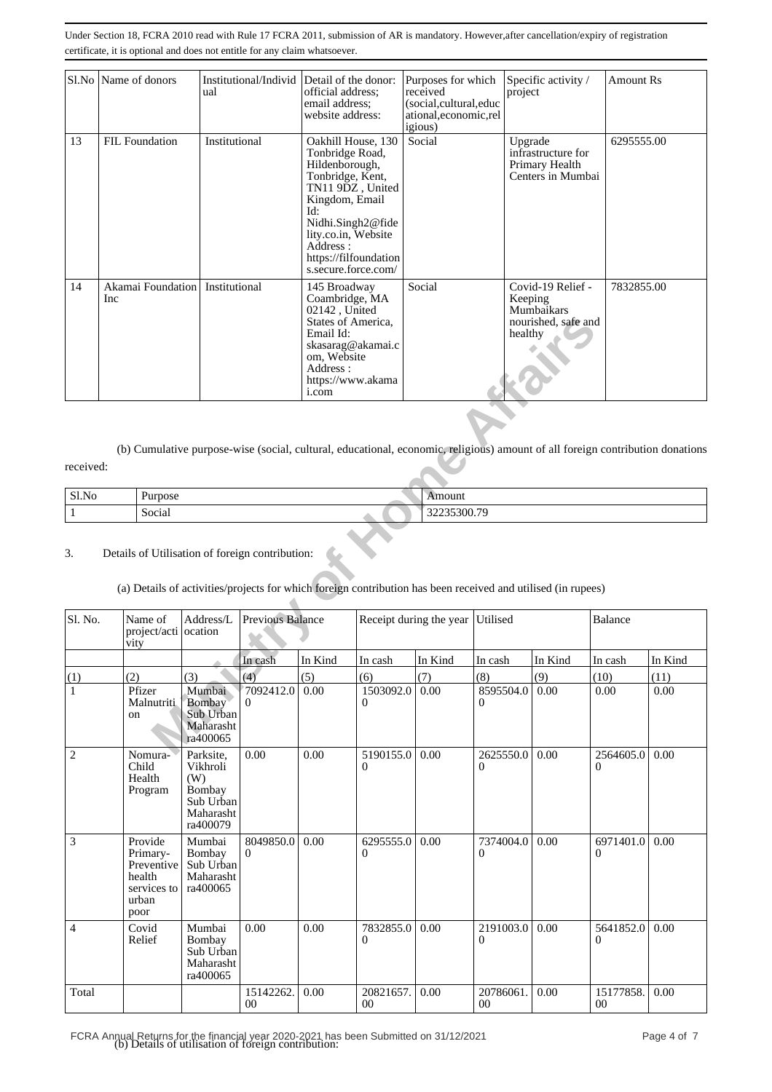|    | Sl.No   Name of donors   | Institutional/Individ Detail of the donor:<br>ual | official address:<br>email address:<br>website address:                                                                                                                                                                          | Purposes for which<br>received<br>(social,cultural,educ<br>ational, economic, rel<br>igious) | Specific activity /<br>project                                               | Amount Rs  |
|----|--------------------------|---------------------------------------------------|----------------------------------------------------------------------------------------------------------------------------------------------------------------------------------------------------------------------------------|----------------------------------------------------------------------------------------------|------------------------------------------------------------------------------|------------|
| 13 | <b>FIL Foundation</b>    | Institutional                                     | Oakhill House, 130<br>Tonbridge Road,<br>Hildenborough,<br>Tonbridge, Kent,<br>TN11 9DZ, United<br>Kingdom, Email<br>Id:<br>Nidhi.Singh2@fide<br>lity.co.in, Website<br>Address:<br>https://filfoundation<br>s.secure.force.com/ | Social                                                                                       | Upgrade<br>infrastructure for<br>Primary Health<br>Centers in Mumbai         | 6295555.00 |
| 14 | Akamai Foundation<br>Inc | Institutional                                     | 145 Broadway<br>Coambridge, MA<br>02142, United<br>States of America,<br>Email Id:<br>skasarag@akamai.c<br>om, Website<br>Address:<br>https://www.akama<br><i>i</i> .com                                                         | Social                                                                                       | Covid-19 Relief -<br>Keeping<br>Mumbaikars<br>nourished, safe and<br>healthy | 7832855.00 |

| Sl.No<br>$    -$ | rosc   | $Q$ un   |
|------------------|--------|----------|
|                  | Social | 233300.7 |

# (a) Details of activities/projects for which foreign contribution has been received and utilised (in rupees)

|                |                                                                                            |                                                                              |                         | States of America,<br>Email Id:<br>skasarag@akamai.c<br>om, Website<br>Address:<br>https://www.akama<br>i.com |                                                                                                                               |                         | healthy                   | nourished, safe and |                 |         |
|----------------|--------------------------------------------------------------------------------------------|------------------------------------------------------------------------------|-------------------------|---------------------------------------------------------------------------------------------------------------|-------------------------------------------------------------------------------------------------------------------------------|-------------------------|---------------------------|---------------------|-----------------|---------|
| received:      |                                                                                            |                                                                              |                         |                                                                                                               | (b) Cumulative purpose-wise (social, cultural, educational, economic, religious) amount of all foreign contribution donations |                         |                           |                     |                 |         |
| Sl.No          | Purpose                                                                                    |                                                                              |                         |                                                                                                               |                                                                                                                               | Amount                  |                           |                     |                 |         |
| $\,1\,$        | Social                                                                                     |                                                                              |                         |                                                                                                               |                                                                                                                               | 32235300.79             |                           |                     |                 |         |
| 3.<br>Sl. No.  | Details of Utilisation of foreign contribution:<br>Name of<br>project/acti ocation<br>vity | Address/L                                                                    | <b>Previous Balance</b> |                                                                                                               | (a) Details of activities/projects for which foreign contribution has been received and utilised (in rupees)                  | Receipt during the year | Utilised                  |                     | Balance         |         |
|                |                                                                                            |                                                                              | In cash                 | In Kind                                                                                                       | In cash                                                                                                                       | In Kind                 | In cash                   | In Kind             | In cash         | In Kind |
| (1)            | (2)                                                                                        | (3)                                                                          | (4)                     | (5)                                                                                                           | (6)                                                                                                                           | (7)                     | (8)                       | (9)                 | (10)            | (11)    |
| 1              | Pfizer<br>Malnutriti<br>on                                                                 | Mumbai<br>Bombay<br>Sub Urban<br>Maharasht<br>ra400065                       | 7092412.0<br>0          | 0.00                                                                                                          | 1503092.0<br>0                                                                                                                | 0.00                    | 8595504.0<br>$\mathbf{0}$ | 0.00                | 0.00            | 0.00    |
| $\overline{c}$ | Nomura-<br>Child<br>Health<br>Program                                                      | Parksite,<br>Vikhroli<br>(W)<br>Bombay<br>Sub Urban<br>Maharasht<br>ra400079 | 0.00                    | 0.00                                                                                                          | 5190155.0<br>$\theta$                                                                                                         | 0.00                    | 2625550.0<br>$\mathbf{0}$ | 0.00                | 2564605.0<br>0  | 0.00    |
| 3              | Provide<br>Primary-<br>Preventive<br>health<br>services to<br>urban<br>poor                | Mumbai<br>Bombay<br>Sub Urban<br>Maharasht<br>ra400065                       | 8049850.0<br>$\Omega$   | 0.00                                                                                                          | 6295555.0<br>0                                                                                                                | 0.00                    | 7374004.0<br>$\theta$     | 0.00                | 6971401.0<br>0  | 0.00    |
| 4              | Covid<br>Relief                                                                            | Mumbai<br>Bombay<br>Sub Urban<br>Maharasht<br>ra400065                       | 0.00                    | 0.00                                                                                                          | 7832855.0<br>$\Omega$                                                                                                         | 0.00                    | 2191003.0<br>$\theta$     | 0.00                | 5641852.0<br>0  | 0.00    |
| Total          |                                                                                            |                                                                              | 15142262.<br>$00\,$     | 0.00                                                                                                          | 20821657.<br>$00\,$                                                                                                           | 0.00                    | 20786061.<br>$00\,$       | $0.00\,$            | 15177858.<br>00 | 0.00    |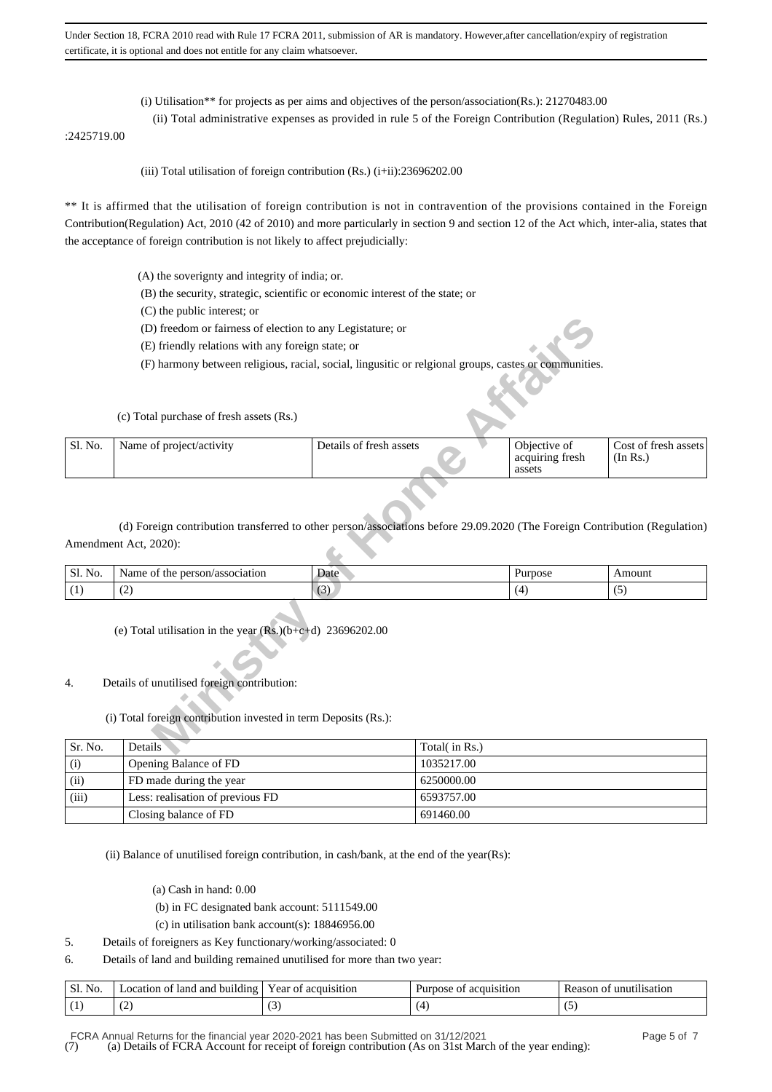- (i) Utilisation\*\* for projects as per aims and objectives of the person/association(Rs.): 21270483.00
- (ii) Total administrative expenses as provided in rule 5 of the Foreign Contribution (Regulation) Rules, 2011 (Rs.)

:2425719.00

(iii) Total utilisation of foreign contribution  $(Rs.)$  (i+ii):23696202.00

\*\* It is affirmed that the utilisation of foreign contribution is not in contravention of the provisions contained in the Foreign Contribution(Regulation) Act, 2010 (42 of 2010) and more particularly in section 9 and section 12 of the Act which, inter-alia, states that the acceptance of foreign contribution is not likely to affect prejudicially:

- (A) the soverignty and integrity of india; or.
- (B) the security, strategic, scientific or economic interest of the state; or
- (C) the public interest; or
- (D) freedom or fairness of election to any Legistature; or
- (E) friendly relations with any foreign state; or
- (F) harmony between religious, racial, social, lingusitic or relgional groups, castes or communities.

|         | (D) freedom or fairness of election to any Legistature; or                                                                                                                            |                         |               |                                           |                                  |
|---------|---------------------------------------------------------------------------------------------------------------------------------------------------------------------------------------|-------------------------|---------------|-------------------------------------------|----------------------------------|
|         | (E) friendly relations with any foreign state; or                                                                                                                                     |                         |               |                                           |                                  |
|         | (F) harmony between religious, racial, social, lingusitic or relgional groups, castes or communities.                                                                                 |                         |               |                                           |                                  |
|         |                                                                                                                                                                                       |                         |               |                                           |                                  |
|         | (c) Total purchase of fresh assets (Rs.)                                                                                                                                              |                         |               |                                           |                                  |
| Sl. No. | Name of project/activity                                                                                                                                                              | Details of fresh assets |               | Objective of<br>acquiring fresh<br>assets | Cost of fresh assets<br>(In Rs.) |
| Sl. No. | (d) Foreign contribution transferred to other person/associations before 29.09.2020 (The Foreign Contribution (Regulation)<br>Amendment Act, 2020):<br>Name of the person/association | Date                    |               | Purpose                                   | Amount                           |
| (1)     | (2)                                                                                                                                                                                   | (3)                     |               | (4)                                       | (5)                              |
| 4.      | (e) Total utilisation in the year $(Rs.)(b+c+d)$ 23696202.00<br>Details of unutilised foreign contribution:<br>(i) Total foreign contribution invested in term Deposits (Rs.):        |                         |               |                                           |                                  |
| Sr. No. | Details                                                                                                                                                                               |                         | Total(in Rs.) |                                           |                                  |
|         |                                                                                                                                                                                       |                         |               |                                           |                                  |

| Sl. No.         | person/association<br>Name<br>tne<br>. OT | Date   | urpose | $max_{1111}$ |
|-----------------|-------------------------------------------|--------|--------|--------------|
| $\sim$ 1<br>(1. | $\sim$                                    | $\sim$ |        | ີ            |

- 4. Details of unutilised foreign contribution:
	- (i) Total foreign contribution invested in term Deposits (Rs.):

| Sr. No. | Details                          | Total( in Rs.) |
|---------|----------------------------------|----------------|
| (i)     | Opening Balance of FD            | 1035217.00     |
| (ii)    | FD made during the year          | 6250000.00     |
| (iii)   | Less: realisation of previous FD | 6593757.00     |
|         | Closing balance of FD            | 691460.00      |

(ii) Balance of unutilised foreign contribution, in cash/bank, at the end of the year(Rs):

- (a) Cash in hand: 0.00
- (b) in FC designated bank account: 5111549.00
- (c) in utilisation bank account(s): 18846956.00
- 5. Details of foreigners as Key functionary/working/associated: 0
- 6. Details of land and building remained unutilised for more than two year:

| Sl.<br>.<br>NΟ | <br>-lanc<br>. building<br>and<br>ocation | equisition<br>ear<br>∩1 | 'tıon<br>A11151)<br>A2O<br>ור | satior<br>ת∩∶<br>reas. |
|----------------|-------------------------------------------|-------------------------|-------------------------------|------------------------|
| $\mathbf{L}$   | $\overline{\phantom{a}}$<br>$\sim$        |                         |                               |                        |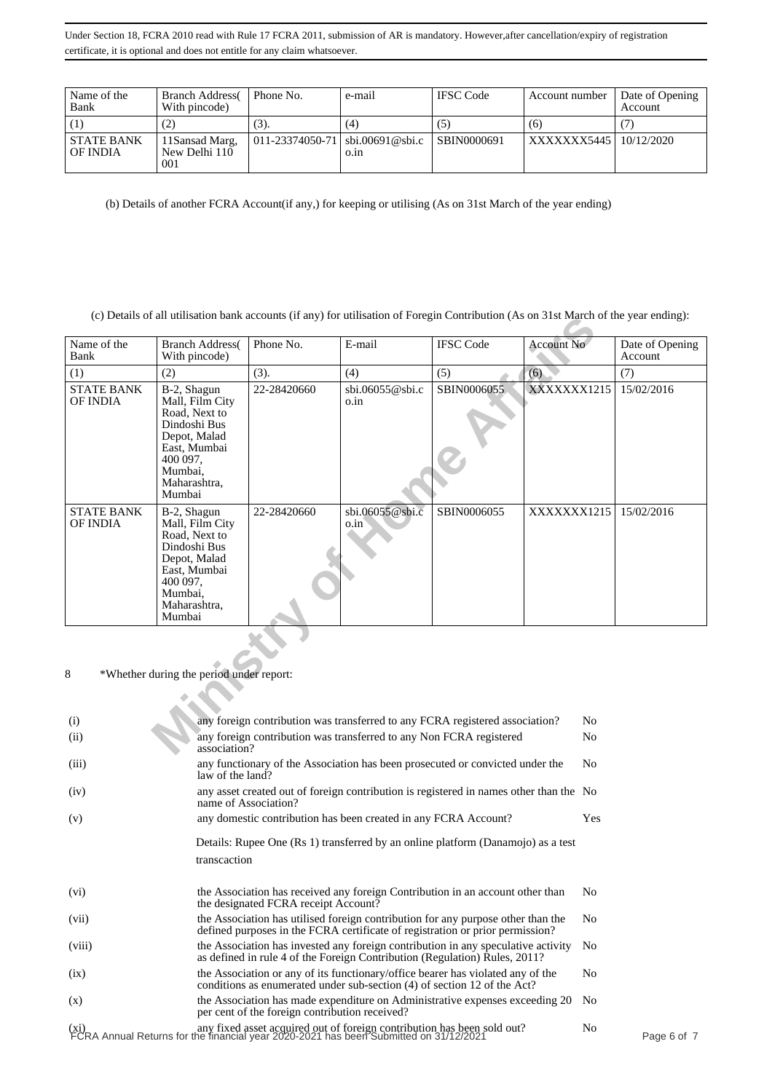| Name of the<br>Bank           | <b>Branch Address</b><br>With pincode)  | Phone No.                         | e-mail | <b>IFSC</b> Code   | Account number           | Date of Opening<br>Account |
|-------------------------------|-----------------------------------------|-----------------------------------|--------|--------------------|--------------------------|----------------------------|
|                               | ,2)                                     | (3).                              | (4)    | ( C                | (6)                      |                            |
| <b>STATE BANK</b><br>OF INDIA | 11 Sansad Marg,<br>New Delhi 110<br>001 | $011-23374050-71$ sbi.00691@sbi.c | 0.1n   | <b>SBIN0000691</b> | XXXXXXX5445   10/12/2020 |                            |

(b) Details of another FCRA Account(if any,) for keeping or utilising (As on 31st March of the year ending)

(c) Details of all utilisation bank accounts (if any) for utilisation of Foregin Contribution (As on 31st March of the year ending):

|                                               |                                                                                                                                                  |                                                                              |                             |                  | (C) Details of an utilisation bank accounts (if any) for utilisation of Foregin Contribution (As on Fix March of the year ending). |                            |  |
|-----------------------------------------------|--------------------------------------------------------------------------------------------------------------------------------------------------|------------------------------------------------------------------------------|-----------------------------|------------------|------------------------------------------------------------------------------------------------------------------------------------|----------------------------|--|
| Name of the<br>Bank                           | <b>Branch Address</b><br>With pincode)                                                                                                           | Phone No.                                                                    | E-mail                      | <b>IFSC</b> Code | Account No                                                                                                                         | Date of Opening<br>Account |  |
| (1)                                           | (2)                                                                                                                                              | (3).                                                                         | (4)                         | (5)              | (6)                                                                                                                                | (7)                        |  |
| <b>STATE BANK</b><br>OF INDIA                 | B-2, Shagun<br>Mall, Film City<br>Road, Next to<br>Dindoshi Bus<br>Depot, Malad<br>East, Mumbai<br>400 097,<br>Mumbai,<br>Maharashtra,<br>Mumbai | 22-28420660                                                                  | $\sin 06055$ @sbi.c<br>o.in | SBIN0006055      | XXXXXXX1215                                                                                                                        | 15/02/2016                 |  |
| <b>STATE BANK</b><br>OF INDIA                 | B-2, Shagun<br>Mall, Film City<br>Road, Next to<br>Dindoshi Bus<br>Depot, Malad<br>East, Mumbai<br>400 097,<br>Mumbai,<br>Maharashtra,<br>Mumbai | 22-28420660                                                                  | sbi.06055@sbi.c<br>o.in     | SBIN0006055      | XXXXXXX1215                                                                                                                        | 15/02/2016                 |  |
| 8<br>*Whether during the period under report: |                                                                                                                                                  |                                                                              |                             |                  |                                                                                                                                    |                            |  |
| (i)                                           |                                                                                                                                                  | any foreign contribution was transferred to any FCRA registered association? |                             |                  | N <sub>o</sub>                                                                                                                     |                            |  |
| (ii)                                          | any foreign contribution was transferred to any Non FCRA registered<br>N <sub>0</sub><br>association?                                            |                                                                              |                             |                  |                                                                                                                                    |                            |  |

| any foreign contribution was transferred to any FCRA registered association?                                                                                      | N <sub>0</sub>                                                                                                                                                        |                                                                                        |
|-------------------------------------------------------------------------------------------------------------------------------------------------------------------|-----------------------------------------------------------------------------------------------------------------------------------------------------------------------|----------------------------------------------------------------------------------------|
| any foreign contribution was transferred to any Non FCRA registered<br>association?                                                                               | N <sub>0</sub>                                                                                                                                                        |                                                                                        |
| any functionary of the Association has been prosecuted or convicted under the<br>law of the land?                                                                 | N <sub>o</sub>                                                                                                                                                        |                                                                                        |
| name of Association?                                                                                                                                              |                                                                                                                                                                       |                                                                                        |
| any domestic contribution has been created in any FCRA Account?                                                                                                   | Yes                                                                                                                                                                   |                                                                                        |
| Details: Rupee One (Rs 1) transferred by an online platform (Danamojo) as a test                                                                                  |                                                                                                                                                                       |                                                                                        |
| transcaction                                                                                                                                                      |                                                                                                                                                                       |                                                                                        |
| the Association has received any foreign Contribution in an account other than<br>the designated FCRA receipt Account?                                            | N <sub>0</sub>                                                                                                                                                        |                                                                                        |
| the Association has utilised foreign contribution for any purpose other than the<br>defined purposes in the FCRA certificate of registration or prior permission? | N <sub>0</sub>                                                                                                                                                        |                                                                                        |
| the Association has invested any foreign contribution in any speculative activity<br>as defined in rule 4 of the Foreign Contribution (Regulation) Rules, 2011?   | N <sub>o</sub>                                                                                                                                                        |                                                                                        |
| the Association or any of its functionary/office bearer has violated any of the<br>conditions as enumerated under sub-section (4) of section 12 of the Act?       | No                                                                                                                                                                    |                                                                                        |
| the Association has made expenditure on Administrative expenses exceeding 20<br>per cent of the foreign contribution received?                                    | N <sub>o</sub>                                                                                                                                                        |                                                                                        |
|                                                                                                                                                                   | No                                                                                                                                                                    | Page 6 of                                                                              |
|                                                                                                                                                                   | (xi) any fixed asset acquired out of foreign contribution has been sold out?<br>FCRA Annual Returns for the financial year 2020-2021 has been Submitted on 31/12/2021 | any asset created out of foreign contribution is registered in names other than the No |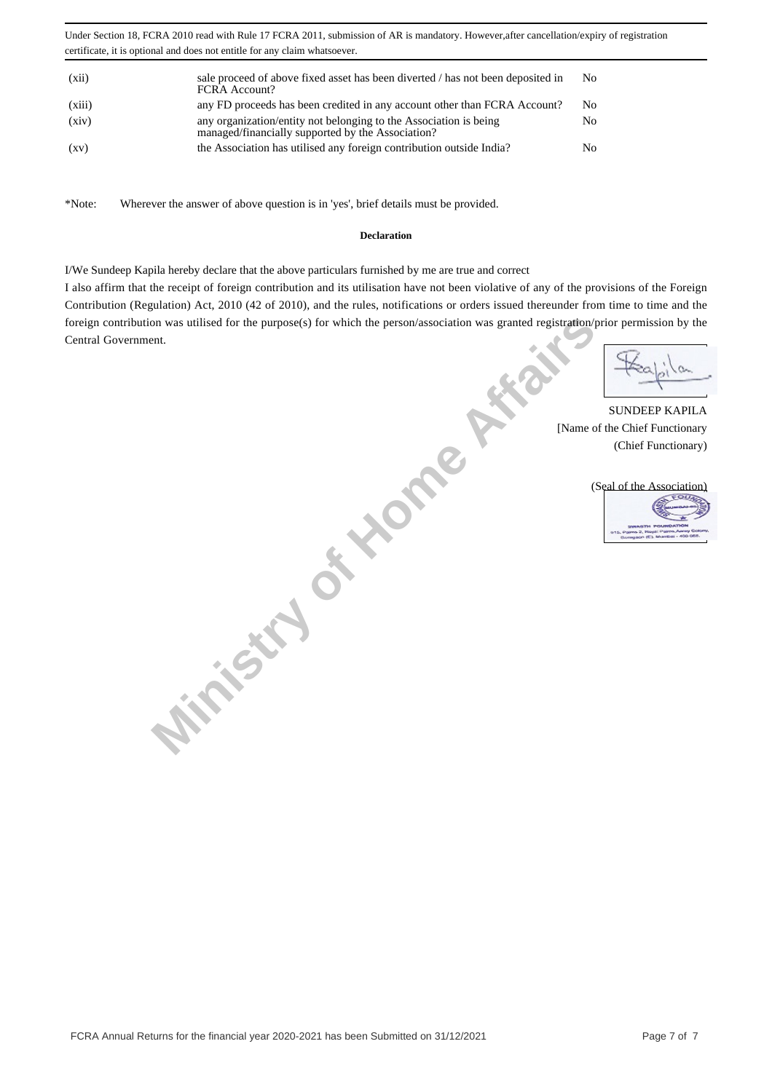| (xii)              | sale proceed of above fixed asset has been diverted / has not been deposited in<br><b>FCRA</b> Account?                | No             |
|--------------------|------------------------------------------------------------------------------------------------------------------------|----------------|
| (xiii)             | any FD proceeds has been credited in any account other than FCRA Account?                                              | N <sub>0</sub> |
| (xiv)              | any organization/entity not belonging to the Association is being<br>managed/financially supported by the Association? | No             |
| $\left( xy\right)$ | the Association has utilised any foreign contribution outside India?                                                   | N <sub>0</sub> |

\*Note: Wherever the answer of above question is in 'yes', brief details must be provided.

### **Declaration**

I/We Sundeep Kapila hereby declare that the above particulars furnished by me are true and correct

**Ministry of Home** 

I also affirm that the receipt of foreign contribution and its utilisation have not been violative of any of the provisions of the Foreign Contribution (Regulation) Act, 2010 (42 of 2010), and the rules, notifications or orders issued thereunder from time to time and the foreign contribution was utilised for the purpose(s) for which the person/association was granted registration/prior permission by the Central Government.

SUNDEEP KAPILA [Name of the Chief Functionary (Chief Functionary)



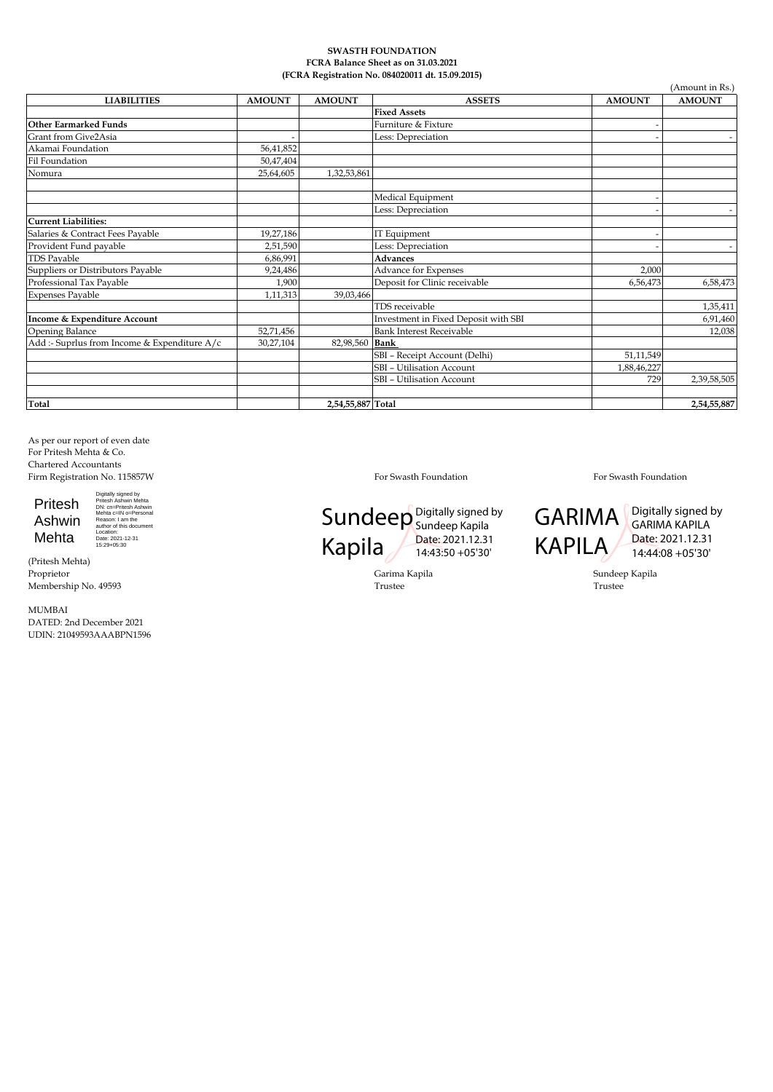#### **SWASTH FOUNDATION FCRA Balance Sheet as on 31.03.2021 (FCRA Registration No. 084020011 dt. 15.09.2015)**

| <b>LIABILITIES</b>                           | <b>AMOUNT</b> | <b>AMOUNT</b>     | <b>ASSETS</b>                        | <b>AMOUNT</b> | <b>AMOUNT</b> |
|----------------------------------------------|---------------|-------------------|--------------------------------------|---------------|---------------|
|                                              |               |                   | <b>Fixed Assets</b>                  |               |               |
| Other Earmarked Funds                        |               |                   | Furniture & Fixture                  |               |               |
| Grant from Give2Asia                         |               |                   | Less: Depreciation                   |               | $\sim$        |
| Akamai Foundation                            | 56,41,852     |                   |                                      |               |               |
| Fil Foundation                               | 50,47,404     |                   |                                      |               |               |
| Nomura                                       | 25,64,605     | 1,32,53,861       |                                      |               |               |
|                                              |               |                   | Medical Equipment                    |               |               |
|                                              |               |                   | Less: Depreciation                   |               |               |
| Current Liabilities:                         |               |                   |                                      |               |               |
| Salaries & Contract Fees Payable             | 19,27,186     |                   | IT Equipment                         |               |               |
| Provident Fund payable                       | 2,51,590      |                   | Less: Depreciation                   |               | $\sim$        |
| <b>TDS Payable</b>                           | 6,86,991      |                   | Advances                             |               |               |
| Suppliers or Distributors Payable            | 9,24,486      |                   | <b>Advance for Expenses</b>          | 2,000         |               |
| Professional Tax Payable                     | 1,900         |                   | Deposit for Clinic receivable        | 6,56,473      | 6,58,473      |
| <b>Expenses Payable</b>                      | 1,11,313      | 39,03,466         |                                      |               |               |
|                                              |               |                   | TDS receivable                       |               | 1,35,411      |
| Income & Expenditure Account                 |               |                   | Investment in Fixed Deposit with SBI |               | 6,91,460      |
| Opening Balance                              | 52,71,456     |                   | <b>Bank Interest Receivable</b>      |               | 12,038        |
| Add :- Suprlus from Income & Expenditure A/c | 30,27,104     | 82,98,560 Bank    |                                      |               |               |
|                                              |               |                   | SBI - Receipt Account (Delhi)        | 51,11,549     |               |
|                                              |               |                   | <b>SBI</b> - Utilisation Account     | 1,88,46,227   |               |
|                                              |               |                   | <b>SBI</b> - Utilisation Account     | 729           | 2,39,58,505   |
| Total                                        |               | 2,54,55,887 Total |                                      |               | 2,54,55,887   |

As per our report of even date For Pritesh Mehta & Co. Chartered Accountants Firm Registration No. 115857W **For Swasth Foundation** For Swasth Foundation For Swasth Foundation For Swasth Foundation

Digitally signed by<br>Pritesh Ashwin Mehta<br>DN: cn=Pritesh Ashwin<br>Mehta c=IN o=Personal<br>Reason: I am the<br>author of this document<br>Location:<br>Location:<br>15:29+05:30

Pritesh Ashwin Mehta

(Pritesh Mehta) Membership No. 49593 Trustee Trustee

MUMBAI DATED: 2nd December 2021 UDIN: 21049593AAABPN1596

#### Sundeep Digitally signed by Kapila Sundeep Kapila Date: 2021.12.31 14:43:50 +05'30'

Proprietor Garima Kapila Sundeep Kapila

**GARIMA** KAPILA

Digitally signed by GARIMA KAPILA Date: 2021.12.31 14:44:08 +05'30'

 $(A_m, \ldots, A_n)$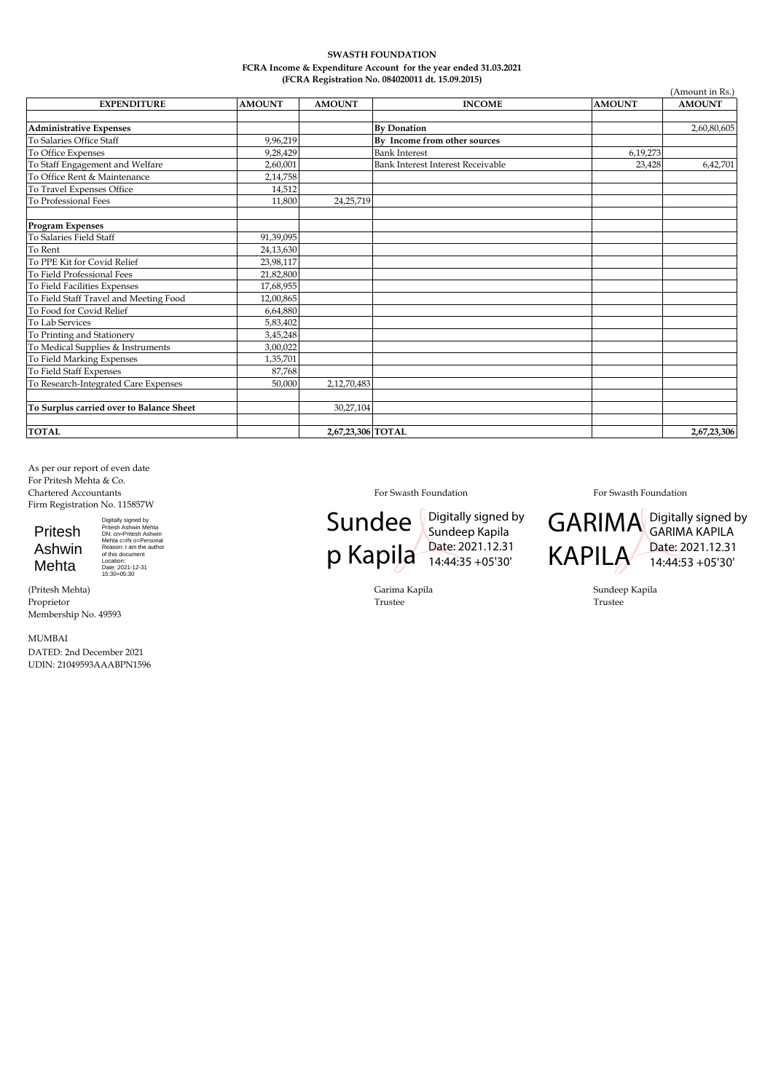#### **SWASTH FOUNDATION FCRA Income & Expenditure Account for the year ended 31.03.2021 (FCRA Registration No. 084020011 dt. 15.09.2015)**

|                                          |               |                   |                                   |               | (Amount in Rs.) |  |
|------------------------------------------|---------------|-------------------|-----------------------------------|---------------|-----------------|--|
| <b>EXPENDITURE</b>                       | <b>AMOUNT</b> | <b>AMOUNT</b>     | <b>INCOME</b>                     | <b>AMOUNT</b> | <b>AMOUNT</b>   |  |
|                                          |               |                   |                                   |               |                 |  |
| <b>Administrative Expenses</b>           |               |                   | <b>By Donation</b>                |               | 2,60,80,605     |  |
| To Salaries Office Staff                 | 9,96,219      |                   | By Income from other sources      |               |                 |  |
| To Office Expenses                       | 9,28,429      |                   | <b>Bank Interest</b>              | 6,19,273      |                 |  |
| To Staff Engagement and Welfare          | 2,60,001      |                   | Bank Interest Interest Receivable | 23,428        | 6,42,701        |  |
| To Office Rent & Maintenance             | 2,14,758      |                   |                                   |               |                 |  |
| To Travel Expenses Office                | 14,512        |                   |                                   |               |                 |  |
| To Professional Fees                     | 11,800        | 24, 25, 719       |                                   |               |                 |  |
| <b>Program Expenses</b>                  |               |                   |                                   |               |                 |  |
| To Salaries Field Staff                  | 91,39,095     |                   |                                   |               |                 |  |
| To Rent                                  | 24,13,630     |                   |                                   |               |                 |  |
| To PPE Kit for Covid Relief              | 23,98,117     |                   |                                   |               |                 |  |
| To Field Professional Fees               | 21,82,800     |                   |                                   |               |                 |  |
| To Field Facilities Expenses             | 17,68,955     |                   |                                   |               |                 |  |
| To Field Staff Travel and Meeting Food   | 12,00,865     |                   |                                   |               |                 |  |
| To Food for Covid Relief                 | 6,64,880      |                   |                                   |               |                 |  |
| To Lab Services                          | 5,83,402      |                   |                                   |               |                 |  |
| To Printing and Stationery               | 3,45,248      |                   |                                   |               |                 |  |
| To Medical Supplies & Instruments        | 3,00,022      |                   |                                   |               |                 |  |
| To Field Marking Expenses                | 1,35,701      |                   |                                   |               |                 |  |
| To Field Staff Expenses                  | 87,768        |                   |                                   |               |                 |  |
| To Research-Integrated Care Expenses     | 50,000        | 2,12,70,483       |                                   |               |                 |  |
| To Surplus carried over to Balance Sheet |               | 30,27,104         |                                   |               |                 |  |
| <b>TOTAL</b>                             |               | 2,67,23,306 TOTAL |                                   |               | 2,67,23,306     |  |

As per our report of even date For Pritesh Mehta & Co.<br>Chartered Accountants Firm Registration No. 115857W

Pritesh Ashwin Mehta

Digitally signed by<br>Pritesh Ashwin Mehta<br>DN: cn=Pritesh Ashwin<br>Mehta c=IN o=Personal<br>Reason: I am the author<br>of this document<br>Location:<br>Date: 2021-12-31<br>15:30+05:30

(Pritesh Mehta) Garima Kapila Sundeep Kapila Proprietor Trustee Trustee Membership No. 49593

MUMBAI DATED: 2nd December 2021 UDIN: 21049593AAABPN1596

Sundee<sup>1</sup> p Kapila Date: 2021.12.31 Digitally signed by Sundeep Kapila 14:44:35 +05'30'

For Swasth Foundation For Swasth Foundation